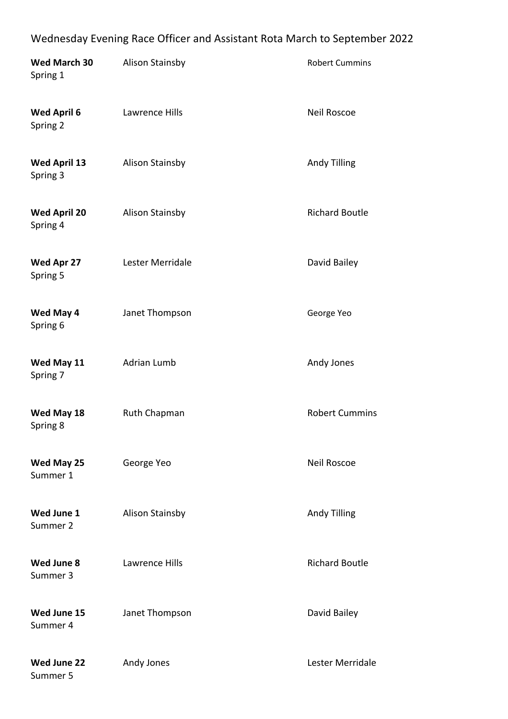## Wednesday Evening Race Officer and Assistant Rota March to September 2022

| <b>Wed March 30</b><br>Spring 1 | <b>Alison Stainsby</b> | <b>Robert Cummins</b> |
|---------------------------------|------------------------|-----------------------|
| <b>Wed April 6</b><br>Spring 2  | Lawrence Hills         | <b>Neil Roscoe</b>    |
| <b>Wed April 13</b><br>Spring 3 | <b>Alison Stainsby</b> | <b>Andy Tilling</b>   |
| <b>Wed April 20</b><br>Spring 4 | <b>Alison Stainsby</b> | <b>Richard Boutle</b> |
| Wed Apr 27<br>Spring 5          | Lester Merridale       | David Bailey          |
| Wed May 4<br>Spring 6           | Janet Thompson         | George Yeo            |
| Wed May 11<br>Spring 7          | <b>Adrian Lumb</b>     | Andy Jones            |
| Wed May 18<br>Spring 8          | Ruth Chapman           | <b>Robert Cummins</b> |
| Wed May 25<br>Summer 1          | George Yeo             | <b>Neil Roscoe</b>    |
| Wed June 1<br>Summer 2          | <b>Alison Stainsby</b> | <b>Andy Tilling</b>   |
| Wed June 8<br>Summer 3          | Lawrence Hills         | <b>Richard Boutle</b> |
| Wed June 15<br>Summer 4         | Janet Thompson         | David Bailey          |
| Wed June 22<br>Summer 5         | Andy Jones             | Lester Merridale      |